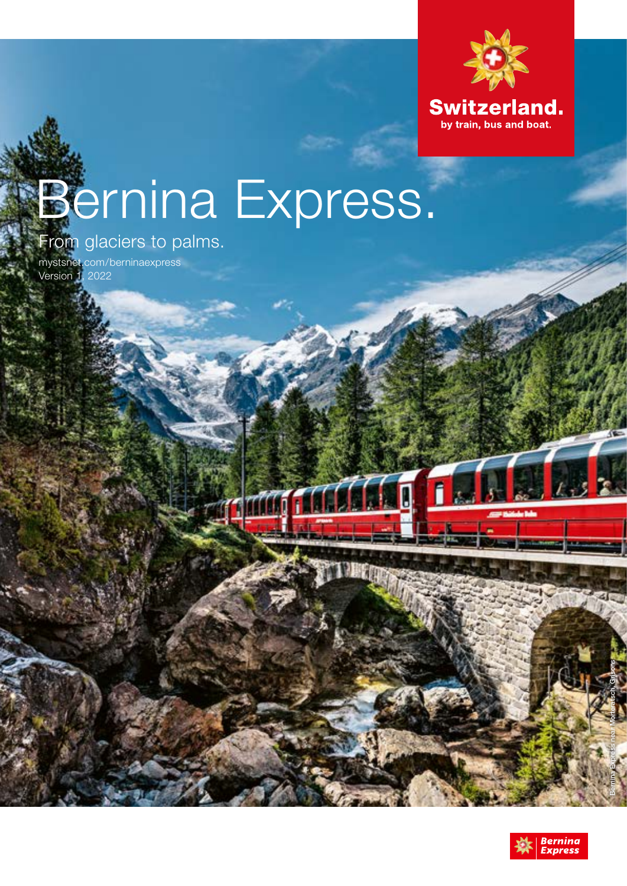

# Bernina Express.

er mag for for for a line

# From glaciers to palms.

[mystsnet.com/berninaexpress](http://mystsnet.com/berninaexpress) Version 1, 2022



Bernina Express near Morteratsch, Grisons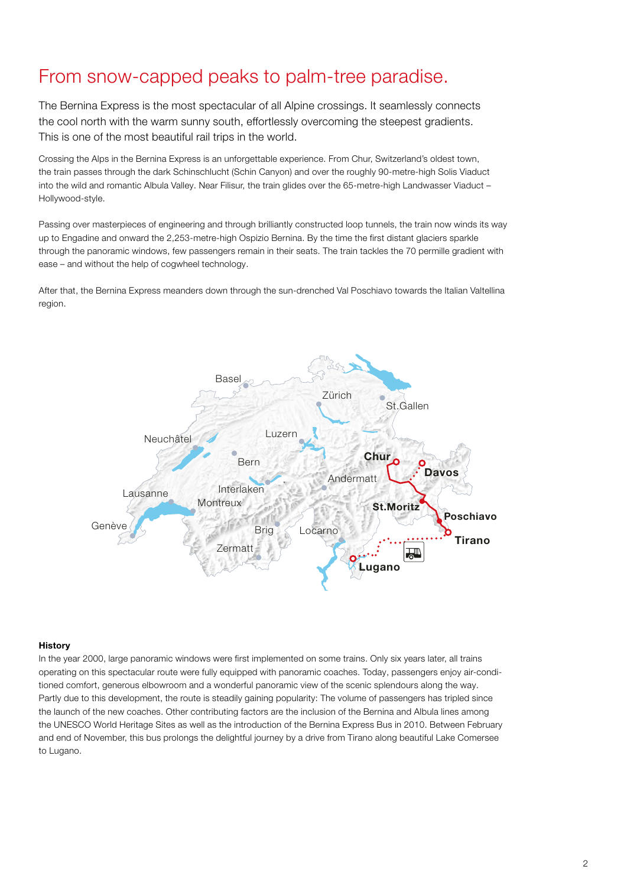## From snow-capped peaks to palm-tree paradise.

The Bernina Express is the most spectacular of all Alpine crossings. It seamlessly connects the cool north with the warm sunny south, effortlessly overcoming the steepest gradients. This is one of the most beautiful rail trips in the world.

Crossing the Alps in the Bernina Express is an unforgettable experience. From Chur, Switzerland's oldest town, the train passes through the dark Schinschlucht (Schin Canyon) and over the roughly 90-metre-high Solis Viaduct into the wild and romantic Albula Valley. Near Filisur, the train glides over the 65-metre-high Landwasser Viaduct – Hollywood-style.

Passing over masterpieces of engineering and through brilliantly constructed loop tunnels, the train now winds its way up to Engadine and onward the 2,253-metre-high Ospizio Bernina. By the time the first distant glaciers sparkle through the panoramic windows, few passengers remain in their seats. The train tackles the 70 permille gradient with ease – and without the help of cogwheel technology.

After that, the Bernina Express meanders down through the sun-drenched Val Poschiavo towards the Italian Valtellina region.



#### **History**

In the year 2000, large panoramic windows were first implemented on some trains. Only six years later, all trains operating on this spectacular route were fully equipped with panoramic coaches. Today, passengers enjoy air-conditioned comfort, generous elbowroom and a wonderful panoramic view of the scenic splendours along the way. Partly due to this development, the route is steadily gaining popularity: The volume of passengers has tripled since the launch of the new coaches. Other contributing factors are the inclusion of the Bernina and Albula lines among the UNESCO World Heritage Sites as well as the introduction of the Bernina Express Bus in 2010. Between February and end of November, this bus prolongs the delightful journey by a drive from Tirano along beautiful Lake Comersee to Lugano.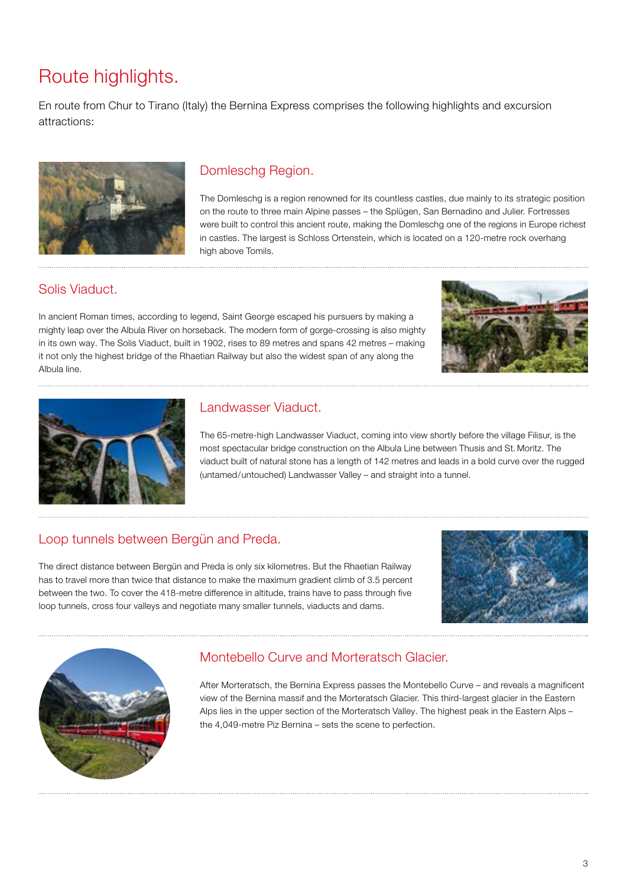# Route highlights.

En route from Chur to Tirano (Italy) the Bernina Express comprises the following highlights and excursion attractions:



### Domleschg Region.

The Domleschg is a region renowned for its countless castles, due mainly to its strategic position on the route to three main Alpine passes – the Splügen, San Bernadino and Julier. Fortresses were built to control this ancient route, making the Domleschg one of the regions in Europe richest in castles. The largest is Schloss Ortenstein, which is located on a 120-metre rock overhang high above Tomils.

#### Solis Viaduct.

In ancient Roman times, according to legend, Saint George escaped his pursuers by making a mighty leap over the Albula River on horseback. The modern form of gorge-crossing is also mighty in its own way. The Solis Viaduct, built in 1902, rises to 89 metres and spans 42 metres – making it not only the highest bridge of the Rhaetian Railway but also the widest span of any along the Albula line.





#### Landwasser Viaduct.

The 65-metre-high Landwasser Viaduct, coming into view shortly before the village Filisur, is the most spectacular bridge construction on the Albula Line between Thusis and St. Moritz. The viaduct built of natural stone has a length of 142 metres and leads in a bold curve over the rugged (untamed/untouched) Landwasser Valley – and straight into a tunnel.

#### Loop tunnels between Bergün and Preda.

The direct distance between Bergün and Preda is only six kilometres. But the Rhaetian Railway has to travel more than twice that distance to make the maximum gradient climb of 3.5 percent between the two. To cover the 418-metre difference in altitude, trains have to pass through five loop tunnels, cross four valleys and negotiate many smaller tunnels, viaducts and dams.





## Montebello Curve and Morteratsch Glacier.

After Morteratsch, the Bernina Express passes the Montebello Curve – and reveals a magnificent view of the Bernina massif and the Morteratsch Glacier. This third-largest glacier in the Eastern Alps lies in the upper section of the Morteratsch Valley. The highest peak in the Eastern Alps – the 4,049-metre Piz Bernina – sets the scene to perfection.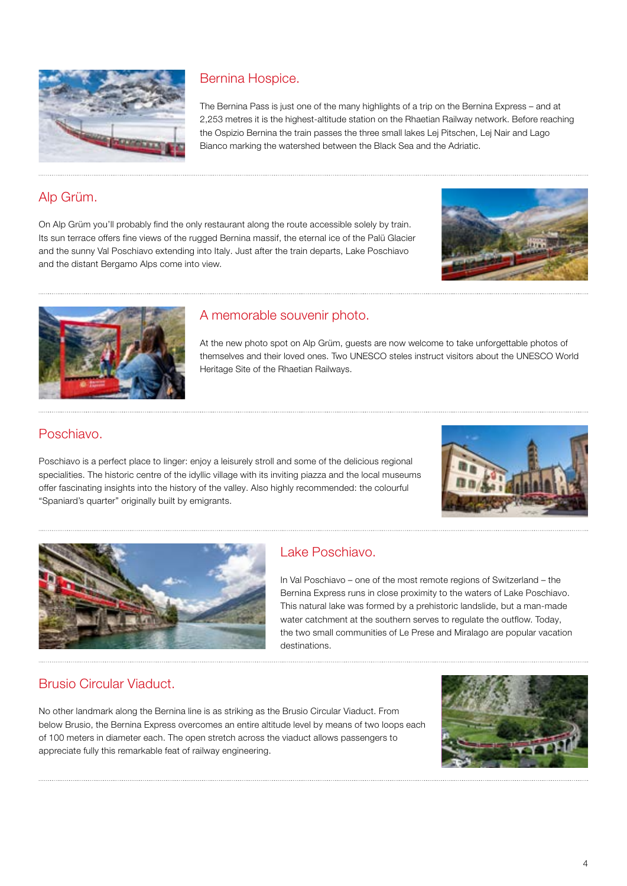

## Bernina Hospice.

The Bernina Pass is just one of the many highlights of a trip on the Bernina Express – and at 2,253 metres it is the highest-altitude station on the Rhaetian Railway network. Before reaching the Ospizio Bernina the train passes the three small lakes Lej Pitschen, Lej Nair and Lago Bianco marking the watershed between the Black Sea and the Adriatic.

#### Alp Grüm.

On Alp Grüm you'll probably find the only restaurant along the route accessible solely by train. Its sun terrace offers fine views of the rugged Bernina massif, the eternal ice of the Palü Glacier and the sunny Val Poschiavo extending into Italy. Just after the train departs, Lake Poschiavo and the distant Bergamo Alps come into view.





#### A memorable souvenir photo.

At the new photo spot on Alp Grüm, guests are now welcome to take unforgettable photos of themselves and their loved ones. Two UNESCO steles instruct visitors about the UNESCO World Heritage Site of the Rhaetian Railways.

#### Poschiavo.

Poschiavo is a perfect place to linger: enjoy a leisurely stroll and some of the delicious regional specialities. The historic centre of the idyllic village with its inviting piazza and the local museums offer fascinating insights into the history of the valley. Also highly recommended: the colourful "Spaniard's quarter" originally built by emigrants.





#### Lake Poschiavo.

In Val Poschiavo – one of the most remote regions of Switzerland – the Bernina Express runs in close proximity to the waters of Lake Poschiavo. This natural lake was formed by a prehistoric landslide, but a man-made water catchment at the southern serves to regulate the outflow. Today, the two small communities of Le Prese and Miralago are popular vacation destinations.

#### Brusio Circular Viaduct.

No other landmark along the Bernina line is as striking as the Brusio Circular Viaduct. From below Brusio, the Bernina Express overcomes an entire altitude level by means of two loops each of 100 meters in diameter each. The open stretch across the viaduct allows passengers to appreciate fully this remarkable feat of railway engineering.

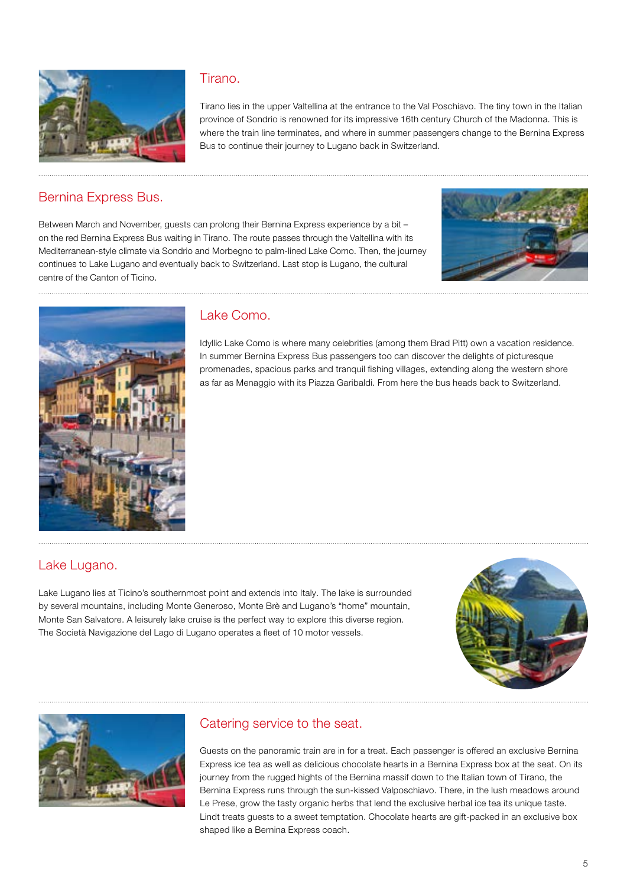

#### Tirano.

Tirano lies in the upper Valtellina at the entrance to the Val Poschiavo. The tiny town in the Italian province of Sondrio is renowned for its impressive 16th century Church of the Madonna. This is where the train line terminates, and where in summer passengers change to the Bernina Express Bus to continue their journey to Lugano back in Switzerland.

#### Bernina Express Bus.

Between March and November, guests can prolong their Bernina Express experience by a bit – on the red Bernina Express Bus waiting in Tirano. The route passes through the Valtellina with its Mediterranean-style climate via Sondrio and Morbegno to palm-lined Lake Como. Then, the journey continues to Lake Lugano and eventually back to Switzerland. Last stop is Lugano, the cultural centre of the Canton of Ticino.





#### Lake Como.

Idyllic Lake Como is where many celebrities (among them Brad Pitt) own a vacation residence. In summer Bernina Express Bus passengers too can discover the delights of picturesque promenades, spacious parks and tranquil fishing villages, extending along the western shore as far as Menaggio with its Piazza Garibaldi. From here the bus heads back to Switzerland.

#### Lake Lugano.

Lake Lugano lies at Ticino's southernmost point and extends into Italy. The lake is surrounded by several mountains, including Monte Generoso, Monte Brè and Lugano's "home" mountain, Monte San Salvatore. A leisurely lake cruise is the perfect way to explore this diverse region. The Società Navigazione del Lago di Lugano operates a fleet of 10 motor vessels.





#### Catering service to the seat.

Guests on the panoramic train are in for a treat. Each passenger is offered an exclusive Bernina Express ice tea as well as delicious chocolate hearts in a Bernina Express box at the seat. On its journey from the rugged hights of the Bernina massif down to the Italian town of Tirano, the Bernina Express runs through the sun-kissed Valposchiavo. There, in the lush meadows around Le Prese, grow the tasty organic herbs that lend the exclusive herbal ice tea its unique taste. Lindt treats guests to a sweet temptation. Chocolate hearts are gift-packed in an exclusive box shaped like a Bernina Express coach.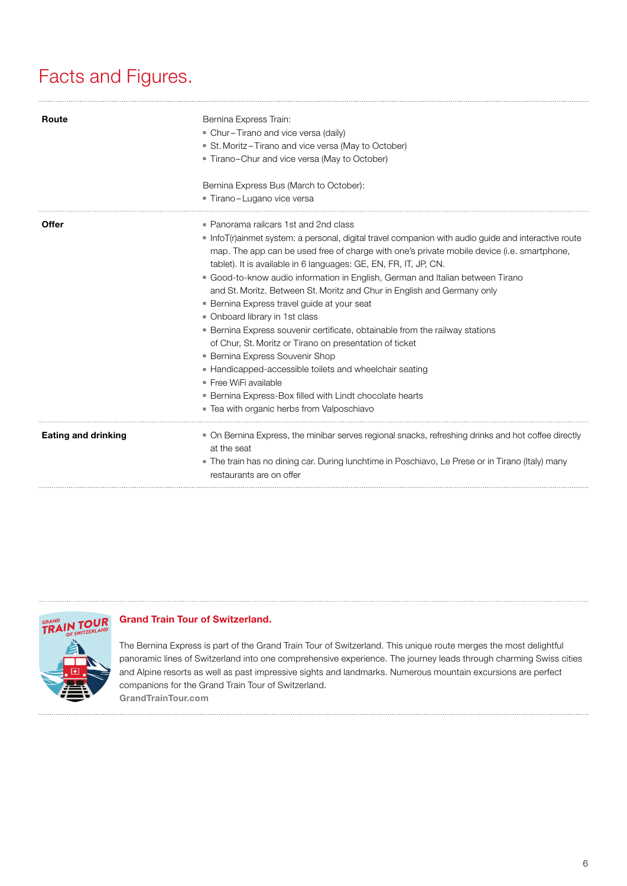# Facts and Figures.

| Route                      | Bernina Express Train:<br>- Chur-Tirano and vice versa (daily)<br>St. Moritz-Tirano and vice versa (May to October)<br>Tirano-Chur and vice versa (May to October)                                                                                                                                                                                                                                                                                                                                                                                                                                                                                                                                                                                                                                                                                                                                                                                                             |
|----------------------------|--------------------------------------------------------------------------------------------------------------------------------------------------------------------------------------------------------------------------------------------------------------------------------------------------------------------------------------------------------------------------------------------------------------------------------------------------------------------------------------------------------------------------------------------------------------------------------------------------------------------------------------------------------------------------------------------------------------------------------------------------------------------------------------------------------------------------------------------------------------------------------------------------------------------------------------------------------------------------------|
|                            | Bernina Express Bus (March to October):<br>- Tirano-Lugano vice versa                                                                                                                                                                                                                                                                                                                                                                                                                                                                                                                                                                                                                                                                                                                                                                                                                                                                                                          |
| Offer                      | • Panorama railcars 1st and 2nd class<br>Info $T(r)$ ainmet system: a personal, digital travel companion with audio guide and interactive route<br>map. The app can be used free of charge with one's private mobile device (i.e. smartphone,<br>tablet). It is available in 6 languages: GE, EN, FR, IT, JP, CN.<br>• Good-to-know audio information in English, German and Italian between Tirano<br>and St. Moritz. Between St. Moritz and Chur in English and Germany only<br><b>Bernina Express travel guide at your seat</b><br>• Onboard library in 1st class<br><b>Bernina Express souvenir certificate, obtainable from the railway stations</b><br>of Chur, St. Moritz or Tirano on presentation of ticket<br><b>- Bernina Express Souvenir Shop</b><br>• Handicapped-accessible toilets and wheelchair seating<br>$\blacksquare$ Free WiFi available<br><b>Bernina Express-Box filled with Lindt chocolate hearts</b><br>. Tea with organic herbs from Valposchiavo |
| <b>Eating and drinking</b> | • On Bernina Express, the minibar serves regional snacks, refreshing drinks and hot coffee directly<br>at the seat<br>The train has no dining car. During lunchtime in Poschiavo, Le Prese or in Tirano (Italy) many<br>restaurants are on offer                                                                                                                                                                                                                                                                                                                                                                                                                                                                                                                                                                                                                                                                                                                               |



#### Grand Train Tour of Switzerland.

The Bernina Express is part of the Grand Train Tour of Switzerland. This unique route merges the most delightful panoramic lines of Switzerland into one comprehensive experience. The journey leads through charming Swiss cities and Alpine resorts as well as past impressive sights and landmarks. Numerous mountain excursions are perfect companions for the Grand Train Tour of Switzerland. [GrandTrainTour.com](http://GrandTrainTour.com)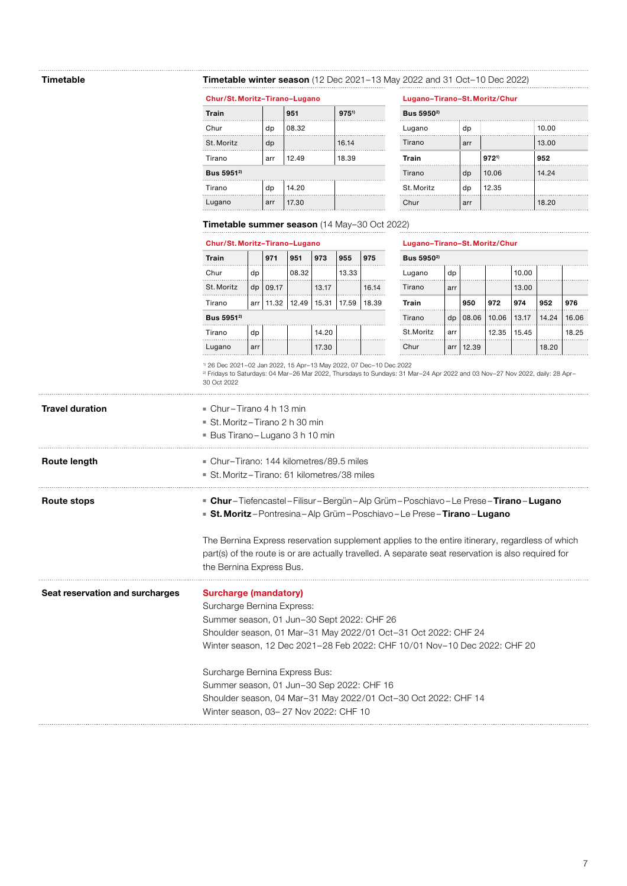#### Timetable Timetable winter season (12 Dec 2021–13 May 2022 and 31 Oct–10 Dec 2022)

| Chur/St. Moritz-Tirano-Lugano |     |       | Lugano-Tirano-St. Moritz/Chur |                        |     |           |       |  |
|-------------------------------|-----|-------|-------------------------------|------------------------|-----|-----------|-------|--|
| Train                         |     | 951   | $975^{1}$                     | Bus 5950 <sup>2)</sup> |     |           |       |  |
| Chur                          | dp  | 08.32 |                               | Lugano                 | dp  |           | 10.00 |  |
| St. Moritz                    | dp  |       | 16.14                         | Tirano                 | arr |           | 13.00 |  |
| Tirano                        | arr | 12.49 | 18.39                         | Train                  |     | $972^{1}$ | 952   |  |
| Bus 5951 <sup>2)</sup>        |     |       |                               | Tirano                 | dp  | 10.06     | 14.24 |  |
| Tirano                        | dp  | 14.20 |                               | St. Moritz             | dp  | 12.35     |       |  |
| Lugano                        | arr | 17.30 |                               | Chur                   | arr |           | 18.20 |  |
|                               |     |       |                               |                        |     |           |       |  |

| Lugano-Tirano-St. Moritz/Chur |     |           |       |  |  |  |  |
|-------------------------------|-----|-----------|-------|--|--|--|--|
| Bus 5950 <sup>2)</sup>        |     |           |       |  |  |  |  |
| Lugano                        | dp  |           | 10.00 |  |  |  |  |
| Tirano                        | arr |           | 13.00 |  |  |  |  |
| Train                         |     | $972^{1}$ | 952   |  |  |  |  |
| Tirano                        | dp  | 10.06     | 14.24 |  |  |  |  |
| St. Moritz                    | dp  | 12.35     |       |  |  |  |  |
| Chur                          | arr |           | 18.20 |  |  |  |  |
|                               |     |           |       |  |  |  |  |

#### Timetable summer season (14 May–30 Oct 2022)

#### Chur/St. Moritz–Tirano–Lugano Lugano–Tirano–St. Moritz/Chur

| <b>Train</b>           |     | 971   | 951   | 973           | 955   | 975   | Bus 5950 <sup>2)</sup> |     |            |       |       |       |      |
|------------------------|-----|-------|-------|---------------|-------|-------|------------------------|-----|------------|-------|-------|-------|------|
| Chur                   | dp  |       | 08.32 |               | 13.33 |       | Lugano                 | dp  |            |       | 10.00 |       |      |
| St. Moritz             | dp  | 09.17 |       | 13.17         |       | 16.14 | Tirano                 | arr |            |       | 13.00 |       |      |
| Tirano                 | arr | 11.32 |       | 12.49   15.31 | 17.59 | 18.39 | Train                  |     | 950        | 972   | 974   | 952   | 976  |
| Bus 5951 <sup>2)</sup> |     |       |       |               |       |       | Tirano                 | dp  | 08.06      | 10.06 | 13.17 | 14.24 | 16.1 |
| Tirano                 | dp  |       |       | 14.20         |       |       | St.Moritz              | arr |            | 12.35 | 15.45 |       | 18.3 |
| Lugano                 | arr |       |       | 17 30         |       |       | Chur                   |     | arr 112.39 |       |       | 18.20 |      |

| Train                  |     | 971   | 951           | 973   | 955   | 975   | Bus 5950 <sup>2)</sup> |     |       |       |       |       |       |
|------------------------|-----|-------|---------------|-------|-------|-------|------------------------|-----|-------|-------|-------|-------|-------|
| Chur                   | dp  |       | 08.32         |       | 13.33 |       | Lugano                 | dp  |       |       | 10.00 |       |       |
| St. Moritz             | dp  | 09.17 |               | 13.17 |       | 16.14 | Tirano                 | arr |       |       | 13.00 |       |       |
| Tirano                 | arr | 11.32 | $12.49$ 15.31 |       | 17.59 | 18.39 | Train                  |     | 950   | 972   | 974   | 952   | 976   |
| Bus 5951 <sup>2)</sup> |     |       |               |       |       |       | Tirano                 | dp  | 08.06 | 10.06 | 13.17 | 14.24 | 16.06 |
| Tirano                 | dp  |       |               | 14.20 |       |       | St.Moritz              | arr |       | 12.35 | 15.45 |       | 18.25 |
| Lugano                 | arr |       |               | 17.30 |       |       | Chur                   | arr | 12.39 |       |       | 18.20 |       |

1) 26 Dec 2021–02 Jan 2022, 15 Apr–13 May 2022, 07 Dec–10 Dec 2022

2) Fridays to Saturdays: 04 Mar–26 Mar 2022, Thursdays to Sundays: 31 Mar–24 Apr 2022 and 03 Nov–27 Nov 2022, daily: 28 Apr– 30 Oct 2022

| <b>Travel duration</b>          | $\blacksquare$ Chur – Tirano 4 h 13 min<br>$\blacksquare$ St. Moritz – Tirano 2 h 30 min<br>Bus Tirano – Lugano 3 h 10 min                                                                                                                                                                                                                                                                               |
|---------------------------------|----------------------------------------------------------------------------------------------------------------------------------------------------------------------------------------------------------------------------------------------------------------------------------------------------------------------------------------------------------------------------------------------------------|
| Route length                    | • Chur-Tirano: 144 kilometres/89.5 miles<br>■ St. Moritz-Tirano: 61 kilometres/38 miles                                                                                                                                                                                                                                                                                                                  |
| Route stops                     | <b>E</b> Chur-Tiefencastel-Filisur-Bergün-Alp Grüm-Poschiavo-Le Prese-Tirano-Lugano<br><b>St. Moritz</b> -Pontresina-Alp Grüm-Poschiavo-Le Prese- <b>Tirano-Lugano</b>                                                                                                                                                                                                                                   |
|                                 | The Bernina Express reservation supplement applies to the entire itinerary, regardless of which<br>part(s) of the route is or are actually travelled. A separate seat reservation is also required for<br>the Bernina Express Bus.                                                                                                                                                                       |
| Seat reservation and surcharges | <b>Surcharge (mandatory)</b><br>Surcharge Bernina Express:<br>Summer season, 01 Jun-30 Sept 2022: CHF 26<br>Shoulder season, 01 Mar-31 May 2022/01 Oct-31 Oct 2022: CHF 24<br>Winter season, 12 Dec 2021-28 Feb 2022: CHF 10/01 Nov-10 Dec 2022: CHF 20<br>Surcharge Bernina Express Bus:<br>Summer season, 01 Jun-30 Sep 2022: CHF 16<br>Shoulder season, 04 Mar-31 May 2022/01 Oct-30 Oct 2022: CHF 14 |
|                                 | Winter season, 03-27 Nov 2022: CHF 10                                                                                                                                                                                                                                                                                                                                                                    |